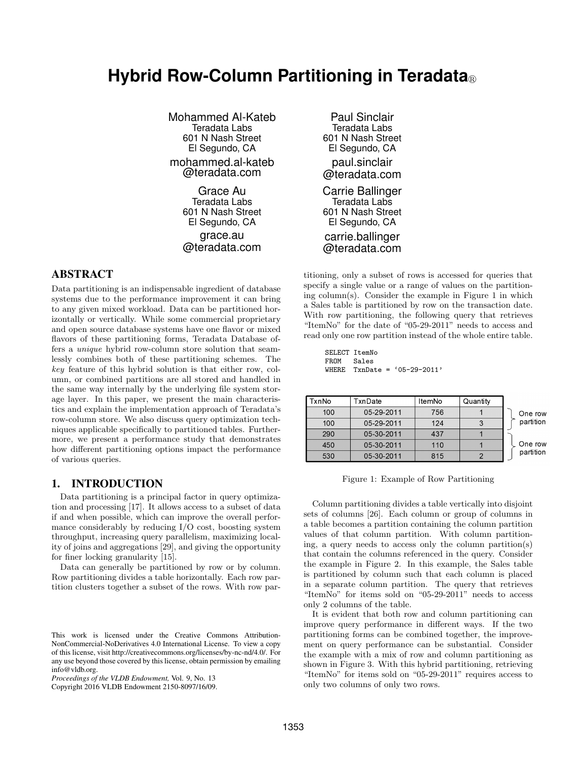# **Hybrid Row-Column Partitioning in Teradata**®

Mohammed Al-Kateb Teradata Labs 601 N Nash Street El Segundo, CA mohammed.al-kateb @teradata.com Grace Au Teradata Labs 601 N Nash Street El Segundo, CA grace.au

@teradata.com

# ABSTRACT

Data partitioning is an indispensable ingredient of database systems due to the performance improvement it can bring to any given mixed workload. Data can be partitioned horizontally or vertically. While some commercial proprietary and open source database systems have one flavor or mixed flavors of these partitioning forms, Teradata Database offers a *unique* hybrid row-column store solution that seamlessly combines both of these partitioning schemes. The *key* feature of this hybrid solution is that either row, column, or combined partitions are all stored and handled in the same way internally by the underlying file system storage layer. In this paper, we present the main characteristics and explain the implementation approach of Teradata's row-column store. We also discuss query optimization techniques applicable specifically to partitioned tables. Furthermore, we present a performance study that demonstrates how different partitioning options impact the performance of various queries.

## 1. INTRODUCTION

Data partitioning is a principal factor in query optimization and processing [17]. It allows access to a subset of data if and when possible, which can improve the overall performance considerably by reducing I/O cost, boosting system throughput, increasing query parallelism, maximizing locality of joins and aggregations [29], and giving the opportunity for finer locking granularity [15].

Data can generally be partitioned by row or by column. Row partitioning divides a table horizontally. Each row partition clusters together a subset of the rows. With row par-

Copyright 2016 VLDB Endowment 2150-8097/16/09.

Paul Sinclair Teradata Labs 601 N Nash Street El Segundo, CA paul.sinclair @teradata.com Carrie Ballinger Teradata Labs 601 N Nash Street El Segundo, CA carrie.ballinger @teradata.com

titioning, only a subset of rows is accessed for queries that specify a single value or a range of values on the partitioning column(s). Consider the example in Figure 1 in which a Sales table is partitioned by row on the transaction date. With row partitioning, the following query that retrieves "ItemNo" for the date of "05-29-2011" needs to access and read only one row partition instead of the whole entire table.

```
SELECT ItemNo
FROM Sales
WHERE TxnDate = '05-29-2011'
```

| TxnNo | TxnDate    | ItemNo | Quantity |           |
|-------|------------|--------|----------|-----------|
| 100   | 05-29-2011 | 756    |          | One row   |
| 100   | 05-29-2011 | 124    |          | partition |
| 290   | 05-30-2011 | 437    |          |           |
| 450   | 05-30-2011 | 110    |          | One row   |
| 530   | 05-30-2011 | 815    |          | partition |

Figure 1: Example of Row Partitioning

Column partitioning divides a table vertically into disjoint sets of columns [26]. Each column or group of columns in a table becomes a partition containing the column partition values of that column partition. With column partitioning, a query needs to access only the column partition(s) that contain the columns referenced in the query. Consider the example in Figure 2. In this example, the Sales table is partitioned by column such that each column is placed in a separate column partition. The query that retrieves "ItemNo" for items sold on "05-29-2011" needs to access only 2 columns of the table.

It is evident that both row and column partitioning can improve query performance in different ways. If the two partitioning forms can be combined together, the improvement on query performance can be substantial. Consider the example with a mix of row and column partitioning as shown in Figure 3. With this hybrid partitioning, retrieving "ItemNo" for items sold on "05-29-2011" requires access to only two columns of only two rows.

This work is licensed under the Creative Commons Attribution-NonCommercial-NoDerivatives 4.0 International License. To view a copy of this license, visit http://creativecommons.org/licenses/by-nc-nd/4.0/. For any use beyond those covered by this license, obtain permission by emailing info@vldb.org.

*Proceedings of the VLDB Endowment,* Vol. 9, No. 13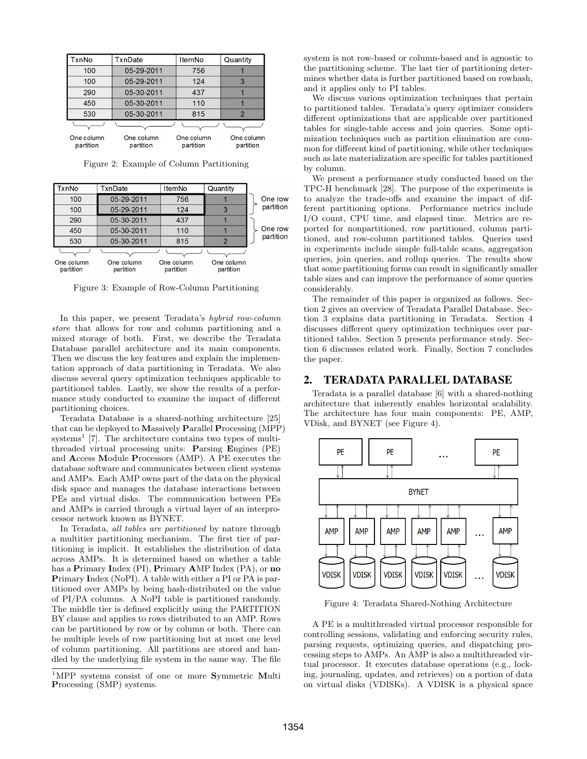| TxnNo                   | TxnDate                 | ItemNo                  | Quantity                |
|-------------------------|-------------------------|-------------------------|-------------------------|
| 100                     | 05-29-2011              | 756                     |                         |
| 100                     | 05-29-2011              | 124                     | 3                       |
| 290                     | 05-30-2011              | 437                     |                         |
| 450                     | 05-30-2011              | 110                     |                         |
| 530                     | 05-30-2011              | 815                     | $\mathcal{P}$           |
|                         |                         |                         |                         |
| One column<br>partition | One column<br>partition | One column<br>partition | One column<br>partition |

Figure 2: Example of Column Partitioning

| TxnNo                   | TxnDate                 | ItemNo                  | Quantity                |           |
|-------------------------|-------------------------|-------------------------|-------------------------|-----------|
| 100                     | 05-29-2011              | 756                     |                         | One row   |
| 100                     | 05-29-2011              | 124                     | 3                       | partition |
| 290                     | 05-30-2011              | 437                     |                         |           |
| 450                     | 05-30-2011              | 110                     |                         | One row   |
| 530                     | 05-30-2011              | 815                     | $\mathcal{P}$           | partition |
|                         |                         |                         |                         |           |
| One column<br>partition | One column<br>partition | One column<br>partition | One column<br>partition |           |

Figure 3: Example of Row-Column Partitioning

In this paper, we present Teradata's *hybrid row-column store* that allows for row and column partitioning and a mixed storage of both. First, we describe the Teradata Database parallel architecture and its main components. Then we discuss the key features and explain the implementation approach of data partitioning in Teradata. We also discuss several query optimization techniques applicable to partitioned tables. Lastly, we show the results of a performance study conducted to examine the impact of different partitioning choices.

Teradata Database is a shared-nothing architecture [25] that can be deployed to **M**assively **P**arallel **P**rocessing (MPP)  $systems<sup>1</sup>$  [7]. The architecture contains two types of multithreaded virtual processing units: **P**arsing **E**ngines (PE) and **A**ccess **M**odule **P**rocessors (AMP). A PE executes the database software and communicates between client systems and AMPs. Each AMP owns part of the data on the physical disk space and manages the database interactions between PEs and virtual disks. The communication between PEs and AMPs is carried through a virtual layer of an interprocessor network known as BYNET.

In Teradata, *all tables are partitioned* by nature through a multitier partitioning mechanism. The first tier of partitioning is implicit. It establishes the distribution of data across AMPs. It is determined based on whether a table has a **P**rimary **I**ndex (PI), **P**rimary **A**MP Index (PA), or **no P**rimary **I**ndex (NoPI). A table with either a PI or PA is partitioned over AMPs by being hash-distributed on the value of PI/PA columns. A NoPI table is partitioned randomly. The middle tier is defined explicitly using the PARTITION BY clause and applies to rows distributed to an AMP. Rows can be partitioned by row or by column or both. There can be multiple levels of row partitioning but at most one level of column partitioning. All partitions are stored and handled by the underlying file system in the same way. The file

system is not row-based or column-based and is agnostic to the partitioning scheme. The last tier of partitioning determines whether data is further partitioned based on rowhash, and it applies only to PI tables.

We discuss various optimization techniques that pertain to partitioned tables. Teradata's query optimizer considers different optimizations that are applicable over partitioned tables for single-table access and join queries. Some optimization techniques such as partition elimination are common for different kind of partitioning, while other techniques such as late materialization are specific for tables partitioned by column.

We present a performance study conducted based on the TPC-H benchmark [28]. The purpose of the experiments is to analyze the trade-offs and examine the impact of different partitioning options. Performance metrics include I/O count, CPU time, and elapsed time. Metrics are reported for nonpartitioned, row partitioned, column partitioned, and row-column partitioned tables. Queries used in experiments include simple full-table scans, aggregation queries, join queries, and rollup queries. The results show that some partitioning forms can result in significantly smaller table sizes and can improve the performance of some queries considerably.

The remainder of this paper is organized as follows. Section 2 gives an overview of Teradata Parallel Database. Section 3 explains data partitioning in Teradata. Section 4 discusses different query optimization techniques over partitioned tables. Section 5 presents performance study. Section 6 discusses related work. Finally, Section 7 concludes the paper.

## 2. TERADATA PARALLEL DATABASE

Teradata is a parallel database [6] with a shared-nothing architecture that inherently enables horizontal scalability. The architecture has four main components: PE, AMP, VDisk, and BYNET (see Figure 4).



Figure 4: Teradata Shared-Nothing Architecture

A PE is a multithreaded virtual processor responsible for controlling sessions, validating and enforcing security rules, parsing requests, optimizing queries, and dispatching processing steps to AMPs. An AMP is also a multithreaded virtual processor. It executes database operations (e.g., locking, journaling, updates, and retrieves) on a portion of data on virtual disks (VDISKs). A VDISK is a physical space

<sup>1</sup>MPP systems consist of one or more **S**ymmetric **M**ulti **P**rocessing (SMP) systems.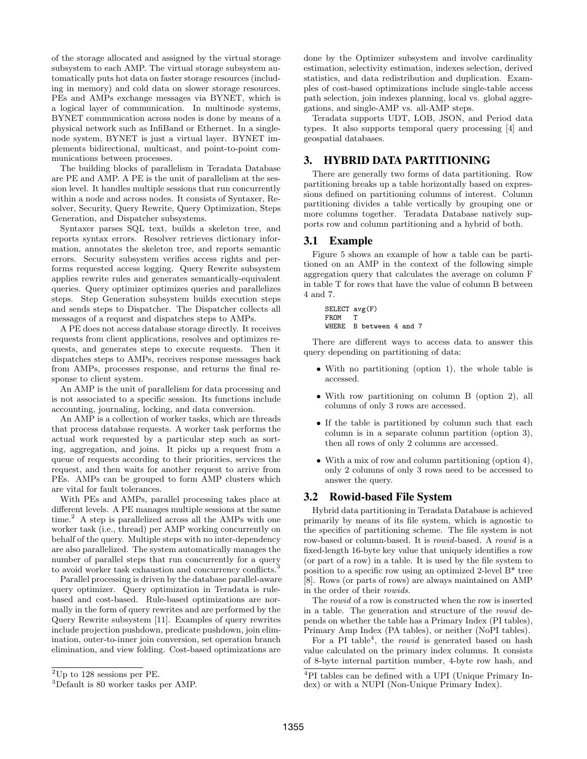of the storage allocated and assigned by the virtual storage subsystem to each AMP. The virtual storage subsystem automatically puts hot data on faster storage resources (including in memory) and cold data on slower storage resources. PEs and AMPs exchange messages via BYNET, which is a logical layer of communication. In multinode systems, BYNET communication across nodes is done by means of a physical network such as InfiBand or Ethernet. In a singlenode system, BYNET is just a virtual layer. BYNET implements bidirectional, multicast, and point-to-point communications between processes.

The building blocks of parallelism in Teradata Database are PE and AMP. A PE is the unit of parallelism at the session level. It handles multiple sessions that run concurrently within a node and across nodes. It consists of Syntaxer, Resolver, Security, Query Rewrite, Query Optimization, Steps Generation, and Dispatcher subsystems.

Syntaxer parses SQL text, builds a skeleton tree, and reports syntax errors. Resolver retrieves dictionary information, annotates the skeleton tree, and reports semantic errors. Security subsystem verifies access rights and performs requested access logging. Query Rewrite subsystem applies rewrite rules and generates semantically-equivalent queries. Query optimizer optimizes queries and parallelizes steps. Step Generation subsystem builds execution steps and sends steps to Dispatcher. The Dispatcher collects all messages of a request and dispatches steps to AMPs.

A PE does not access database storage directly. It receives requests from client applications, resolves and optimizes requests, and generates steps to execute requests. Then it dispatches steps to AMPs, receives response messages back from AMPs, processes response, and returns the final response to client system.

An AMP is the unit of parallelism for data processing and is not associated to a specific session. Its functions include accounting, journaling, locking, and data conversion.

An AMP is a collection of worker tasks, which are threads that process database requests. A worker task performs the actual work requested by a particular step such as sorting, aggregation, and joins. It picks up a request from a queue of requests according to their priorities, services the request, and then waits for another request to arrive from PEs. AMPs can be grouped to form AMP clusters which are vital for fault tolerances.

With PEs and AMPs, parallel processing takes place at different levels. A PE manages multiple sessions at the same  $time<sup>2</sup>$  A step is parallelized across all the AMPs with one worker task (i.e., thread) per AMP working concurrently on behalf of the query. Multiple steps with no inter-dependency are also parallelized. The system automatically manages the number of parallel steps that run concurrently for a query to avoid worker task exhaustion and concurrency conflicts.<sup>3</sup>

Parallel processing is driven by the database parallel-aware query optimizer. Query optimization in Teradata is rulebased and cost-based. Rule-based optimizations are normally in the form of query rewrites and are performed by the Query Rewrite subsystem [11]. Examples of query rewrites include projection pushdown, predicate pushdown, join elimination, outer-to-inner join conversion, set operation branch elimination, and view folding. Cost-based optimizations are

done by the Optimizer subsystem and involve cardinality estimation, selectivity estimation, indexes selection, derived statistics, and data redistribution and duplication. Examples of cost-based optimizations include single-table access path selection, join indexes planning, local vs. global aggregations, and single-AMP vs. all-AMP steps.

Teradata supports UDT, LOB, JSON, and Period data types. It also supports temporal query processing [4] and geospatial databases.

# 3. HYBRID DATA PARTITIONING

There are generally two forms of data partitioning. Row partitioning breaks up a table horizontally based on expressions defined on partitioning columns of interest. Column partitioning divides a table vertically by grouping one or more columns together. Teradata Database natively supports row and column partitioning and a hybrid of both.

# 3.1 Example

Figure 5 shows an example of how a table can be partitioned on an AMP in the context of the following simple aggregation query that calculates the average on column F in table T for rows that have the value of column B between 4 and 7.

```
SELECT avg(F)
FROM T
WHERE B between 4 and 7
```
There are different ways to access data to answer this query depending on partitioning of data:

- *•* With no partitioning (option 1), the whole table is accessed.
- *•* With row partitioning on column B (option 2), all columns of only 3 rows are accessed.
- *•* If the table is partitioned by column such that each column is in a separate column partition (option 3), then all rows of only 2 columns are accessed.
- With a mix of row and column partitioning (option 4), only 2 columns of only 3 rows need to be accessed to answer the query.

## 3.2 Rowid-based File System

Hybrid data partitioning in Teradata Database is achieved primarily by means of its file system, which is agnostic to the specifics of partitioning scheme. The file system is not row-based or column-based. It is *rowid*-based. A *rowid* is a fixed-length 16-byte key value that uniquely identifies a row (or part of a row) in a table. It is used by the file system to position to a specific row using an optimized 2-level B\* tree [8]. Rows (or parts of rows) are always maintained on AMP in the order of their *rowids*.

The *rowid* of a row is constructed when the row is inserted in a table. The generation and structure of the *rowid* depends on whether the table has a Primary Index (PI tables), Primary Amp Index (PA tables), or neither (NoPI tables).

For a PI table<sup>4</sup>, the *rowid* is generated based on hash value calculated on the primary index columns. It consists of 8-byte internal partition number, 4-byte row hash, and

 ${}^{2}$ Up to 128 sessions per PE.

<sup>3</sup>Default is 80 worker tasks per AMP.

<sup>4</sup>PI tables can be defined with a UPI (Unique Primary Index) or with a NUPI (Non-Unique Primary Index).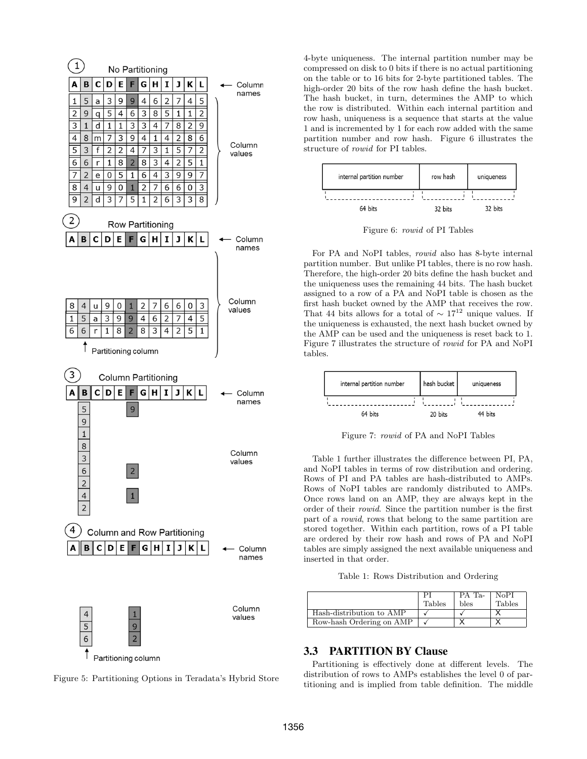

Figure 5: Partitioning Options in Teradata's Hybrid Store

4-byte uniqueness. The internal partition number may be compressed on disk to 0 bits if there is no actual partitioning on the table or to 16 bits for 2-byte partitioned tables. The high-order 20 bits of the row hash define the hash bucket. The hash bucket, in turn, determines the AMP to which the row is distributed. Within each internal partition and row hash, uniqueness is a sequence that starts at the value 1 and is incremented by 1 for each row added with the same partition number and row hash. Figure 6 illustrates the structure of *rowid* for PI tables.



Figure 6: *rowid* of PI Tables

For PA and NoPI tables, *rowid* also has 8-byte internal partition number. But unlike PI tables, there is no row hash. Therefore, the high-order 20 bits define the hash bucket and the uniqueness uses the remaining 44 bits. The hash bucket assigned to a row of a PA and NoPI table is chosen as the first hash bucket owned by the AMP that receives the row. That 44 bits allows for a total of  $\sim 17^{12}$  unique values. If the uniqueness is exhausted, the next hash bucket owned by the AMP can be used and the uniqueness is reset back to 1. Figure 7 illustrates the structure of *rowid* for PA and NoPI tables.



Figure 7: *rowid* of PA and NoPI Tables

Table 1 further illustrates the difference between PI, PA, and NoPI tables in terms of row distribution and ordering. Rows of PI and PA tables are hash-distributed to AMPs. Rows of NoPI tables are randomly distributed to AMPs. Once rows land on an AMP, they are always kept in the order of their *rowid*. Since the partition number is the first part of a *rowid*, rows that belong to the same partition are stored together. Within each partition, rows of a PI table are ordered by their row hash and rows of PA and NoPI tables are simply assigned the next available uniqueness and inserted in that order.

Table 1: Rows Distribution and Ordering

|                          | <b>Tables</b> | PA T <sub>a-</sub><br>bles | NoPI<br>Tables |
|--------------------------|---------------|----------------------------|----------------|
| Hash-distribution to AMP |               |                            |                |
| Row-hash Ordering on AMP |               |                            |                |

# 3.3 PARTITION BY Clause

Partitioning is effectively done at different levels. The distribution of rows to AMPs establishes the level 0 of partitioning and is implied from table definition. The middle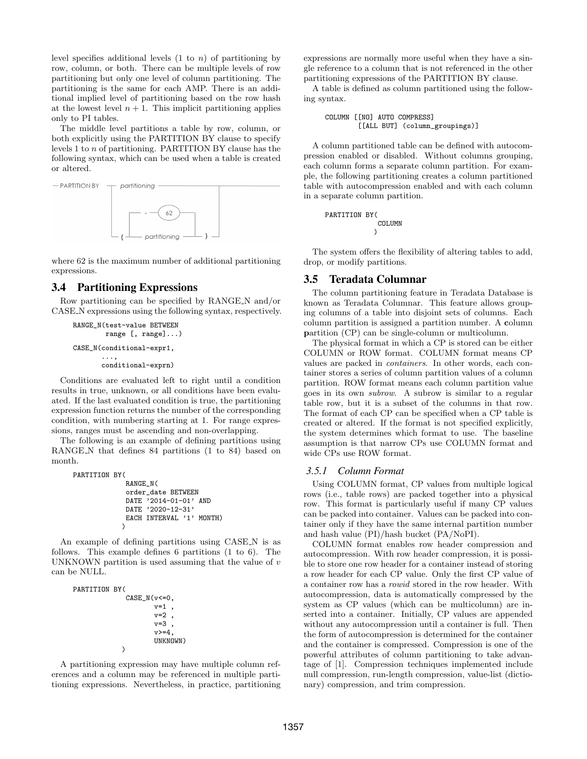level specifies additional levels (1 to *n*) of partitioning by row, column, or both. There can be multiple levels of row partitioning but only one level of column partitioning. The partitioning is the same for each AMP. There is an additional implied level of partitioning based on the row hash at the lowest level  $n + 1$ . This implicit partitioning applies only to PI tables.

The middle level partitions a table by row, column, or both explicitly using the PARTITION BY clause to specify levels 1 to *n* of partitioning. PARTITION BY clause has the following syntax, which can be used when a table is created or altered.



where 62 is the maximum number of additional partitioning expressions.

## 3.4 Partitioning Expressions

Row partitioning can be specified by RANGE N and/or CASE N expressions using the following syntax, respectively.

```
RANGE_N(test-value BETWEEN
        range [, range]...)
CASE_N(conditional-expr1,
       ...,
       conditional-exprn)
```
Conditions are evaluated left to right until a condition results in true, unknown, or all conditions have been evaluated. If the last evaluated condition is true, the partitioning expression function returns the number of the corresponding condition, with numbering starting at 1. For range expressions, ranges must be ascending and non-overlapping.

The following is an example of defining partitions using RANGE N that defines 84 partitions (1 to 84) based on month.

```
PARTITION BY(
              RANGE_N(
              order_date BETWEEN
              DATE '2014-01-01' AND
              DATE '2020-12-31'
              EACH INTERVAL '1' MONTH)
             \lambda
```
An example of defining partitions using CASE N is as follows. This example defines 6 partitions (1 to 6). The UNKNOWN partition is used assuming that the value of *v* can be NULL.

```
PARTITION BY(
              CASE_N(v<=0,v=1 ,
                      v=2 ,
                      v=3 ,
                      v>=4.
                      UNKNOWN)
             )
```
A partitioning expression may have multiple column references and a column may be referenced in multiple partitioning expressions. Nevertheless, in practice, partitioning expressions are normally more useful when they have a single reference to a column that is not referenced in the other partitioning expressions of the PARTITION BY clause.

A table is defined as column partitioned using the following syntax.

COLUMN [[NO] AUTO COMPRESS] [[ALL BUT] (column\_groupings)]

A column partitioned table can be defined with autocompression enabled or disabled. Without columns grouping, each column forms a separate column partition. For example, the following partitioning creates a column partitioned table with autocompression enabled and with each column in a separate column partition.

PARTITION BY( COLUMN )

The system offers the flexibility of altering tables to add, drop, or modify partitions.

## 3.5 Teradata Columnar

The column partitioning feature in Teradata Database is known as Teradata Columnar. This feature allows grouping columns of a table into disjoint sets of columns. Each column partition is assigned a partition number. A **c**olumn **p**artition (CP) can be single-column or multicolumn.

The physical format in which a CP is stored can be either COLUMN or ROW format. COLUMN format means CP values are packed in *containers*. In other words, each container stores a series of column partition values of a column partition. ROW format means each column partition value goes in its own *subrow*. A subrow is similar to a regular table row, but it is a subset of the columns in that row. The format of each CP can be specified when a CP table is created or altered. If the format is not specified explicitly, the system determines which format to use. The baseline assumption is that narrow CPs use COLUMN format and wide CPs use ROW format.

#### *3.5.1 Column Format*

Using COLUMN format, CP values from multiple logical rows (i.e., table rows) are packed together into a physical row. This format is particularly useful if many CP values can be packed into container. Values can be packed into container only if they have the same internal partition number and hash value (PI)/hash bucket (PA/NoPI).

COLUMN format enables row header compression and autocompression. With row header compression, it is possible to store one row header for a container instead of storing a row header for each CP value. Only the first CP value of a container row has a *rowid* stored in the row header. With autocompression, data is automatically compressed by the system as CP values (which can be multicolumn) are inserted into a container. Initially, CP values are appended without any autocompression until a container is full. Then the form of autocompression is determined for the container and the container is compressed. Compression is one of the powerful attributes of column partitioning to take advantage of [1]. Compression techniques implemented include null compression, run-length compression, value-list (dictionary) compression, and trim compression.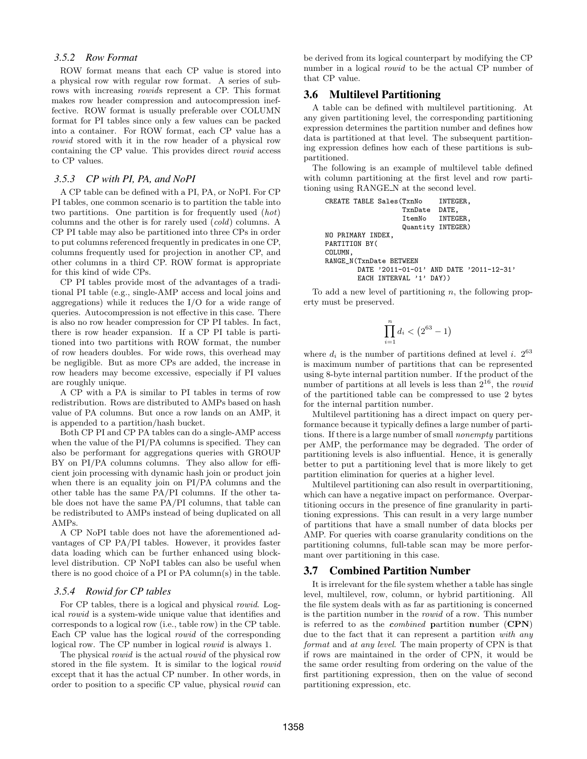#### *3.5.2 Row Format*

ROW format means that each CP value is stored into a physical row with regular row format. A series of subrows with increasing *rowid*s represent a CP. This format makes row header compression and autocompression ineffective. ROW format is usually preferable over COLUMN format for PI tables since only a few values can be packed into a container. For ROW format, each CP value has a *rowid* stored with it in the row header of a physical row containing the CP value. This provides direct *rowid* access to CP values.

## *3.5.3 CP with PI, PA, and NoPI*

A CP table can be defined with a PI, PA, or NoPI. For CP PI tables, one common scenario is to partition the table into two partitions. One partition is for frequently used (*hot*) columns and the other is for rarely used (*cold*) columns. A CP PI table may also be partitioned into three CPs in order to put columns referenced frequently in predicates in one CP, columns frequently used for projection in another CP, and other columns in a third CP. ROW format is appropriate for this kind of wide CPs.

CP PI tables provide most of the advantages of a traditional PI table (e.g., single-AMP access and local joins and aggregations) while it reduces the I/O for a wide range of queries. Autocompression is not effective in this case. There is also no row header compression for CP PI tables. In fact, there is row header expansion. If a CP PI table is partitioned into two partitions with ROW format, the number of row headers doubles. For wide rows, this overhead may be negligible. But as more CPs are added, the increase in row headers may become excessive, especially if PI values are roughly unique.

A CP with a PA is similar to PI tables in terms of row redistribution. Rows are distributed to AMPs based on hash value of PA columns. But once a row lands on an AMP, it is appended to a partition/hash bucket.

Both CP PI and CP PA tables can do a single-AMP access when the value of the PI/PA columns is specified. They can also be performant for aggregations queries with GROUP BY on PI/PA columns columns. They also allow for efficient join processing with dynamic hash join or product join when there is an equality join on PI/PA columns and the other table has the same PA/PI columns. If the other table does not have the same PA/PI columns, that table can be redistributed to AMPs instead of being duplicated on all AMPs.

A CP NoPI table does not have the aforementioned advantages of CP PA/PI tables. However, it provides faster data loading which can be further enhanced using blocklevel distribution. CP NoPI tables can also be useful when there is no good choice of a PI or PA column(s) in the table.

#### *3.5.4 Rowid for CP tables*

For CP tables, there is a logical and physical *rowid*. Logical *rowid* is a system-wide unique value that identifies and corresponds to a logical row (i.e., table row) in the CP table. Each CP value has the logical *rowid* of the corresponding logical row. The CP number in logical *rowid* is always 1.

The physical *rowid* is the actual *rowid* of the physical row stored in the file system. It is similar to the logical *rowid* except that it has the actual CP number. In other words, in order to position to a specific CP value, physical *rowid* can

be derived from its logical counterpart by modifying the CP number in a logical *rowid* to be the actual CP number of that CP value.

## 3.6 Multilevel Partitioning

A table can be defined with multilevel partitioning. At any given partitioning level, the corresponding partitioning expression determines the partition number and defines how data is partitioned at that level. The subsequent partitioning expression defines how each of these partitions is subpartitioned.

The following is an example of multilevel table defined with column partitioning at the first level and row partitioning using RANGE N at the second level.

```
CREATE TABLE Sales(TxnNo INTEGER,<br>TxnDate DATE,
                     TxnDate
                     ItemNo INTEGER,
                     Quantity INTEGER)
NO PRIMARY INDEX,
PARTITION BY(
COLUMN,
RANGE_N(TxnDate BETWEEN
        DATE '2011-01-01' AND DATE '2011-12-31'
        EACH INTERVAL '1' DAY))
```
To add a new level of partitioning *n*, the following property must be preserved.

$$
\prod_{i=1}^{n} d_i < (2^{63} - 1)
$$

where  $d_i$  is the number of partitions defined at level *i*.  $2^{63}$ is maximum number of partitions that can be represented using 8-byte internal partition number. If the product of the number of partitions at all levels is less than 2<sup>16</sup>, the *rowid* of the partitioned table can be compressed to use 2 bytes for the internal partition number.

Multilevel partitioning has a direct impact on query performance because it typically defines a large number of partitions. If there is a large number of small *nonempty* partitions per AMP, the performance may be degraded. The order of partitioning levels is also influential. Hence, it is generally better to put a partitioning level that is more likely to get partition elimination for queries at a higher level.

Multilevel partitioning can also result in overpartitioning, which can have a negative impact on performance. Overpartitioning occurs in the presence of fine granularity in partitioning expressions. This can result in a very large number of partitions that have a small number of data blocks per AMP. For queries with coarse granularity conditions on the partitioning columns, full-table scan may be more performant over partitioning in this case.

## 3.7 Combined Partition Number

It is irrelevant for the file system whether a table has single level, multilevel, row, column, or hybrid partitioning. All the file system deals with as far as partitioning is concerned is the partition number in the *rowid* of a row. This number is referred to as the *combined* **p**artition **n**umber (**CPN**) due to the fact that it can represent a partition *with any format* and *at any level*. The main property of CPN is that if rows are maintained in the order of CPN, it would be the same order resulting from ordering on the value of the first partitioning expression, then on the value of second partitioning expression, etc.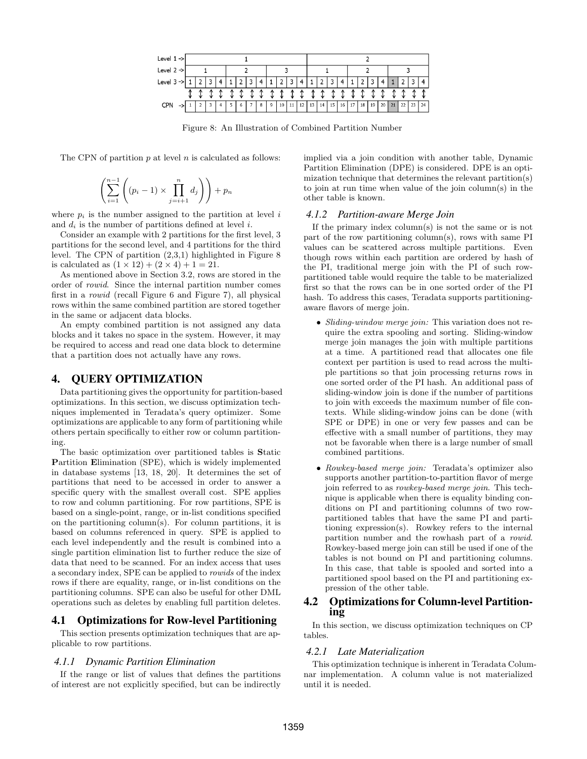

Figure 8: An Illustration of Combined Partition Number

The CPN of partition *p* at level *n* is calculated as follows:

$$
\left(\sum_{i=1}^{n-1} \left( (p_i - 1) \times \prod_{j=i+1}^n d_j \right) \right) + p_n
$$

where  $p_i$  is the number assigned to the partition at level  $i$ and *d<sup>i</sup>* is the number of partitions defined at level *i*.

Consider an example with 2 partitions for the first level, 3 partitions for the second level, and 4 partitions for the third level. The CPN of partition (2,3,1) highlighted in Figure 8 is calculated as  $(1 \times 12) + (2 \times 4) + 1 = 21$ .

As mentioned above in Section 3.2, rows are stored in the order of *rowid*. Since the internal partition number comes first in a *rowid* (recall Figure 6 and Figure 7), all physical rows within the same combined partition are stored together in the same or adjacent data blocks.

An empty combined partition is not assigned any data blocks and it takes no space in the system. However, it may be required to access and read one data block to determine that a partition does not actually have any rows.

## 4. QUERY OPTIMIZATION

Data partitioning gives the opportunity for partition-based optimizations. In this section, we discuss optimization techniques implemented in Teradata's query optimizer. Some optimizations are applicable to any form of partitioning while others pertain specifically to either row or column partitioning.

The basic optimization over partitioned tables is **S**tatic **P**artition **E**limination (SPE), which is widely implemented in database systems [13, 18, 20]. It determines the set of partitions that need to be accessed in order to answer a specific query with the smallest overall cost. SPE applies to row and column partitioning. For row partitions, SPE is based on a single-point, range, or in-list conditions specified on the partitioning column(s). For column partitions, it is based on columns referenced in query. SPE is applied to each level independently and the result is combined into a single partition elimination list to further reduce the size of data that need to be scanned. For an index access that uses a secondary index, SPE can be applied to *rowids* of the index rows if there are equality, range, or in-list conditions on the partitioning columns. SPE can also be useful for other DML operations such as deletes by enabling full partition deletes.

# 4.1 Optimizations for Row-level Partitioning

This section presents optimization techniques that are applicable to row partitions.

#### *4.1.1 Dynamic Partition Elimination*

If the range or list of values that defines the partitions of interest are not explicitly specified, but can be indirectly

implied via a join condition with another table, Dynamic Partition Elimination (DPE) is considered. DPE is an optimization technique that determines the relevant partition(s) to join at run time when value of the join column(s) in the other table is known.

#### *4.1.2 Partition-aware Merge Join*

If the primary index column(s) is not the same or is not part of the row partitioning column(s), rows with same PI values can be scattered across multiple partitions. Even though rows within each partition are ordered by hash of the PI, traditional merge join with the PI of such rowpartitioned table would require the table to be materialized first so that the rows can be in one sorted order of the PI hash. To address this cases, Teradata supports partitioningaware flavors of merge join.

- *• Sliding-window merge join:* This variation does not require the extra spooling and sorting. Sliding-window merge join manages the join with multiple partitions at a time. A partitioned read that allocates one file context per partition is used to read across the multiple partitions so that join processing returns rows in one sorted order of the PI hash. An additional pass of sliding-window join is done if the number of partitions to join with exceeds the maximum number of file contexts. While sliding-window joins can be done (with SPE or DPE) in one or very few passes and can be effective with a small number of partitions, they may not be favorable when there is a large number of small combined partitions.
- *• Rowkey-based merge join:* Teradata's optimizer also supports another partition-to-partition flavor of merge join referred to as *rowkey-based merge join*. This technique is applicable when there is equality binding conditions on PI and partitioning columns of two rowpartitioned tables that have the same PI and partitioning expression(s). Rowkey refers to the internal partition number and the rowhash part of a *rowid*. Rowkey-based merge join can still be used if one of the tables is not bound on PI and partitioning columns. In this case, that table is spooled and sorted into a partitioned spool based on the PI and partitioning expression of the other table.

#### 4.2 Optimizations for Column-level Partitioning

In this section, we discuss optimization techniques on CP tables.

#### *4.2.1 Late Materialization*

This optimization technique is inherent in Teradata Columnar implementation. A column value is not materialized until it is needed.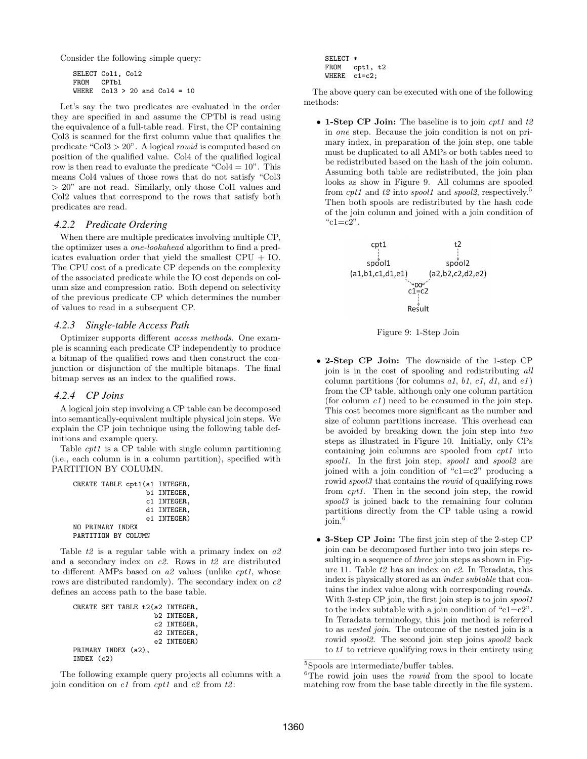Consider the following simple query:

```
SELECT Col1, Col2
FROM CPTbl<br>WHERE Col3
        Co13 > 20 and Co14 = 10
```
Let's say the two predicates are evaluated in the order they are specified in and assume the CPTbl is read using the equivalence of a full-table read. First, the CP containing Col3 is scanned for the first column value that qualifies the predicate "Col3 *>* 20". A logical *rowid* is computed based on position of the qualified value. Col4 of the qualified logical row is then read to evaluate the predicate "Col $4 = 10$ ". This means Col4 values of those rows that do not satisfy "Col3 *>* 20" are not read. Similarly, only those Col1 values and Col2 values that correspond to the rows that satisfy both predicates are read.

#### *4.2.2 Predicate Ordering*

When there are multiple predicates involving multiple CP, the optimizer uses a *one-lookahead* algorithm to find a predicates evaluation order that yield the smallest CPU + IO. The CPU cost of a predicate CP depends on the complexity of the associated predicate while the IO cost depends on column size and compression ratio. Both depend on selectivity of the previous predicate CP which determines the number of values to read in a subsequent CP.

#### *4.2.3 Single-table Access Path*

Optimizer supports different *access methods*. One example is scanning each predicate CP independently to produce a bitmap of the qualified rows and then construct the conjunction or disjunction of the multiple bitmaps. The final bitmap serves as an index to the qualified rows.

#### *4.2.4 CP Joins*

A logical join step involving a CP table can be decomposed into semantically-equivalent multiple physical join steps. We explain the CP join technique using the following table definitions and example query.

Table *cpt1* is a CP table with single column partitioning (i.e., each column is in a column partition), specified with PARTITION BY COLUMN.

```
CREATE TABLE cpt1(a1 INTEGER,
                   b1 INTEGER,
                   c1 INTEGER,
                  d1 INTEGER,
                   e1 INTEGER)
NO PRIMARY INDEX
PARTITION BY COLUMN
```
Table *t2* is a regular table with a primary index on *a2* and a secondary index on *c2*. Rows in *t2* are distributed to different AMPs based on *a2* values (unlike *cpt1*, whose rows are distributed randomly). The secondary index on *c2* defines an access path to the base table.

```
CREATE SET TABLE t2(a2 INTEGER,
                     b2 INTEGER,
                     c2 INTEGER,
                     d2 INTEGER,
                     e2 INTEGER)
PRIMARY INDEX (a2),
INDEX (c2)
```
The following example query projects all columns with a join condition on *c1* from *cpt1* and *c2* from *t2* :

SELECT \*  $cpt, t2$ WHERE c1=c2:

The above query can be executed with one of the following methods:

*•* **1-Step CP Join:** The baseline is to join *cpt1* and *t2* in *one* step. Because the join condition is not on primary index, in preparation of the join step, one table must be duplicated to all AMPs or both tables need to be redistributed based on the hash of the join column. Assuming both table are redistributed, the join plan looks as show in Figure 9. All columns are spooled from *cpt1* and *t2* into *spool1* and *spool2*, respectively.<sup>5</sup> Then both spools are redistributed by the hash code of the join column and joined with a join condition of " $c1 = c2$ ".



Figure 9: 1-Step Join

- *•* **2-Step CP Join:** The downside of the 1-step CP join is in the cost of spooling and redistributing *all* column partitions (for columns *a1*, *b1*, *c1*, *d1*, and *e1* ) from the CP table, although only one column partition (for column *c1* ) need to be consumed in the join step. This cost becomes more significant as the number and size of column partitions increase. This overhead can be avoided by breaking down the join step into *two* steps as illustrated in Figure 10. Initially, only CPs containing join columns are spooled from *cpt1* into *spool1*. In the first join step, *spool1* and *spool2* are joined with a join condition of " $c1=c2$ " producing a rowid *spool3* that contains the *rowid* of qualifying rows from *cpt1*. Then in the second join step, the rowid *spool3* is joined back to the remaining four column partitions directly from the CP table using a rowid join.<sup>6</sup>
- *•* **3-Step CP Join:** The first join step of the 2-step CP join can be decomposed further into two join steps resulting in a sequence of *three* join steps as shown in Figure 11. Table *t2* has an index on *c2*. In Teradata, this index is physically stored as an *index subtable* that contains the index value along with corresponding *rowids*. With 3-step CP join, the first join step is to join *spool1* to the index subtable with a join condition of "c1=c2". In Teradata terminology, this join method is referred to as *nested join*. The outcome of the nested join is a rowid *spool2*. The second join step joins *spool2* back to *t1* to retrieve qualifying rows in their entirety using

<sup>6</sup>The rowid join uses the *rowid* from the spool to locate matching row from the base table directly in the file system.

<sup>5</sup>Spools are intermediate/buffer tables.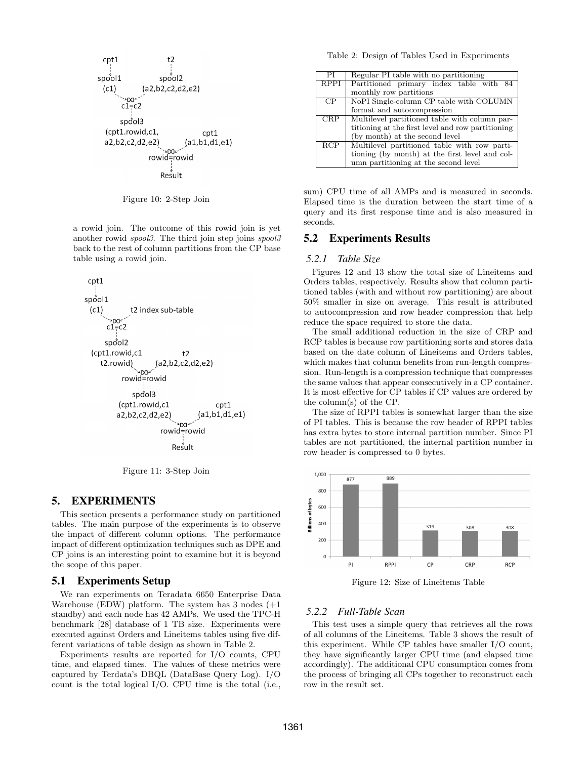

Figure 10: 2-Step Join

a rowid join. The outcome of this rowid join is yet another rowid *spool3*. The third join step joins *spool3* back to the rest of column partitions from the CP base table using a rowid join.



Figure 11: 3-Step Join

## 5. EXPERIMENTS

This section presents a performance study on partitioned tables. The main purpose of the experiments is to observe the impact of different column options. The performance impact of different optimization techniques such as DPE and CP joins is an interesting point to examine but it is beyond the scope of this paper.

#### 5.1 Experiments Setup

We ran experiments on Teradata 6650 Enterprise Data Warehouse (EDW) platform. The system has  $3 \text{ nodes } (+1)$ standby) and each node has 42 AMPs. We used the TPC-H benchmark [28] database of 1 TB size. Experiments were executed against Orders and Lineitems tables using five different variations of table design as shown in Table 2.

Experiments results are reported for I/O counts, CPU time, and elapsed times. The values of these metrics were captured by Terdata's DBQL (DataBase Query Log). I/O count is the total logical I/O. CPU time is the total (i.e.,

Table 2: Design of Tables Used in Experiments

| РI               | Regular PI table with no partitioning             |  |  |
|------------------|---------------------------------------------------|--|--|
| <b>RPPI</b>      | Partitioned primary index table with 84           |  |  |
|                  | monthly row partitions                            |  |  |
| CP               | NoPI Single-column CP table with COLUMN           |  |  |
|                  | format and autocompression                        |  |  |
| <b>CRP</b>       | Multilevel partitioned table with column par-     |  |  |
|                  | titioning at the first level and row partitioning |  |  |
|                  | (by month) at the second level                    |  |  |
| $R\overline{CP}$ | Multilevel partitioned table with row parti-      |  |  |
|                  | tioning (by month) at the first level and col-    |  |  |
|                  | umn partitioning at the second level              |  |  |

sum) CPU time of all AMPs and is measured in seconds. Elapsed time is the duration between the start time of a query and its first response time and is also measured in seconds.

## 5.2 Experiments Results

#### *5.2.1 Table Size*

Figures 12 and 13 show the total size of Lineitems and Orders tables, respectively. Results show that column partitioned tables (with and without row partitioning) are about 50% smaller in size on average. This result is attributed to autocompression and row header compression that help reduce the space required to store the data.

The small additional reduction in the size of CRP and RCP tables is because row partitioning sorts and stores data based on the date column of Lineitems and Orders tables, which makes that column benefits from run-length compression. Run-length is a compression technique that compresses the same values that appear consecutively in a CP container. It is most effective for CP tables if CP values are ordered by the column(s) of the CP.

The size of RPPI tables is somewhat larger than the size of PI tables. This is because the row header of RPPI tables has extra bytes to store internal partition number. Since PI tables are not partitioned, the internal partition number in row header is compressed to 0 bytes.



Figure 12: Size of Lineitems Table

#### *5.2.2 Full-Table Scan*

This test uses a simple query that retrieves all the rows of all columns of the Lineitems. Table 3 shows the result of this experiment. While CP tables have smaller I/O count, they have significantly larger CPU time (and elapsed time accordingly). The additional CPU consumption comes from the process of bringing all CPs together to reconstruct each row in the result set.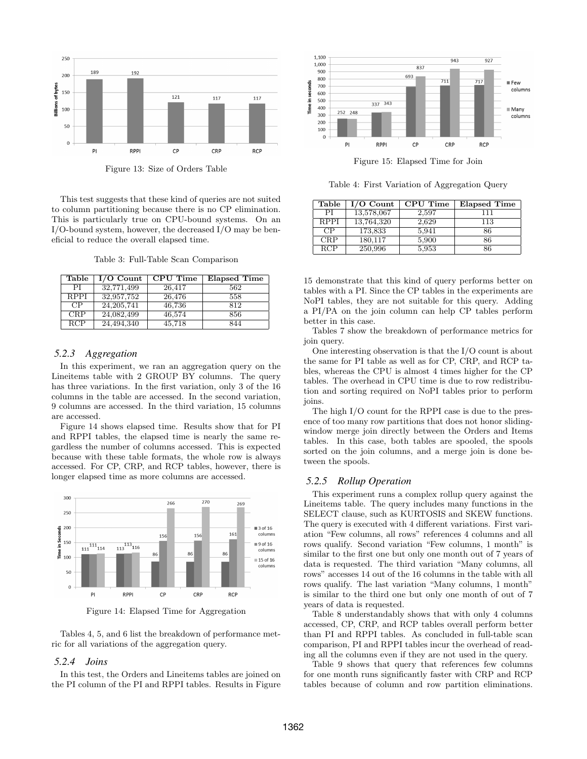

Figure 13: Size of Orders Table

This test suggests that these kind of queries are not suited to column partitioning because there is no CP elimination. This is particularly true on CPU-bound systems. On an I/O-bound system, however, the decreased I/O may be beneficial to reduce the overall elapsed time.

Table 3: Full-Table Scan Comparison

| Table       | $\overline{I/O}$ Count | CPU Time | Elapsed Time |
|-------------|------------------------|----------|--------------|
| PI          | 32,771,499             | 26,417   | 562          |
| <b>RPPI</b> | 32,957,752             | 26,476   | 558          |
| CP          | 24, 205, 741           | 46,736   | 812          |
| CRP         | 24,082,499             | 46,574   | 856          |
| RCP         | 24,494,340             | 45,718   | 844          |

## *5.2.3 Aggregation*

In this experiment, we ran an aggregation query on the Lineitems table with 2 GROUP BY columns. The query has three variations. In the first variation, only 3 of the 16 columns in the table are accessed. In the second variation, 9 columns are accessed. In the third variation, 15 columns are accessed.

Figure 14 shows elapsed time. Results show that for PI and RPPI tables, the elapsed time is nearly the same regardless the number of columns accessed. This is expected because with these table formats, the whole row is always accessed. For CP, CRP, and RCP tables, however, there is longer elapsed time as more columns are accessed.



Figure 14: Elapsed Time for Aggregation

Tables 4, 5, and 6 list the breakdown of performance metric for all variations of the aggregation query.

#### *5.2.4 Joins*

In this test, the Orders and Lineitems tables are joined on the PI column of the PI and RPPI tables. Results in Figure



Figure 15: Elapsed Time for Join

Table 4: First Variation of Aggregation Query

| Table       | $I/O$ Count | <b>CPU</b> Time | <b>Elapsed Time</b> |
|-------------|-------------|-----------------|---------------------|
| PI          | 13,578,067  | 2,597           | 111                 |
| <b>RPPI</b> | 13,764,320  | 2,629           | 113                 |
| CP          | 173,833     | 5,941           | 86                  |
| CRP         | 180,117     | 5,900           | 86                  |
| RCP         | 250,996     | 5,953           | 86                  |

15 demonstrate that this kind of query performs better on tables with a PI. Since the CP tables in the experiments are NoPI tables, they are not suitable for this query. Adding a PI/PA on the join column can help CP tables perform better in this case.

Tables 7 show the breakdown of performance metrics for join query.

One interesting observation is that the I/O count is about the same for PI table as well as for CP, CRP, and RCP tables, whereas the CPU is almost 4 times higher for the CP tables. The overhead in CPU time is due to row redistribution and sorting required on NoPI tables prior to perform joins.

The high I/O count for the RPPI case is due to the presence of too many row partitions that does not honor slidingwindow merge join directly between the Orders and Items tables. In this case, both tables are spooled, the spools sorted on the join columns, and a merge join is done between the spools.

#### *5.2.5 Rollup Operation*

This experiment runs a complex rollup query against the Lineitems table. The query includes many functions in the SELECT clause, such as KURTOSIS and SKEW functions. The query is executed with 4 different variations. First variation "Few columns, all rows" references 4 columns and all rows qualify. Second variation "Few columns, 1 month" is similar to the first one but only one month out of 7 years of data is requested. The third variation "Many columns, all rows" accesses 14 out of the 16 columns in the table with all rows qualify. The last variation "Many columns, 1 month" is similar to the third one but only one month of out of 7 years of data is requested.

Table 8 understandably shows that with only 4 columns accessed, CP, CRP, and RCP tables overall perform better than PI and RPPI tables. As concluded in full-table scan comparison, PI and RPPI tables incur the overhead of reading all the columns even if they are not used in the query.

Table 9 shows that query that references few columns for one month runs significantly faster with CRP and RCP tables because of column and row partition eliminations.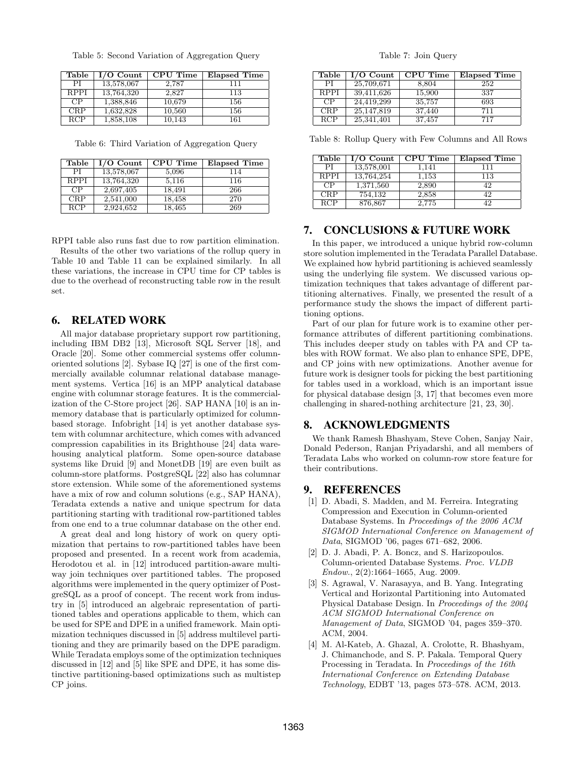| Table       | $I/O$ Count | CPU Time | <b>Elapsed Time</b> |
|-------------|-------------|----------|---------------------|
| PІ          | 13,578,067  | 2.787    | 111                 |
| <b>RPPI</b> | 13,764,320  | 2.827    | 113                 |
| CP          | 1,388,846   | 10,679   | 156                 |
| <b>CRP</b>  | 1,632,828   | 10,560   | 156                 |
| RCP         | 1,858,108   | 10.143   | 161                 |

Table 6: Third Variation of Aggregation Query

| Table       | $I/O$ Count | CPU Time | <b>Elapsed Time</b> |
|-------------|-------------|----------|---------------------|
| PI          | 13,578,067  | 5,096    | 114                 |
| <b>RPPI</b> | 13,764,320  | 5,116    | 116                 |
| CP          | 2,697,405   | 18,491   | 266                 |
| CRP         | 2,541,000   | 18,458   | 270                 |
| RCP         | 2,924,652   | 18,465   | 269                 |

RPPI table also runs fast due to row partition elimination.

Results of the other two variations of the rollup query in Table 10 and Table 11 can be explained similarly. In all these variations, the increase in CPU time for CP tables is due to the overhead of reconstructing table row in the result set.

## 6. RELATED WORK

All major database proprietary support row partitioning, including IBM DB2 [13], Microsoft SQL Server [18], and Oracle [20]. Some other commercial systems offer columnoriented solutions [2]. Sybase IQ [27] is one of the first commercially available columnar relational database management systems. Vertica [16] is an MPP analytical database engine with columnar storage features. It is the commercialization of the C-Store project [26]. SAP HANA [10] is an inmemory database that is particularly optimized for columnbased storage. Infobright [14] is yet another database system with columnar architecture, which comes with advanced compression capabilities in its Brighthouse [24] data warehousing analytical platform. Some open-source database systems like Druid [9] and MonetDB [19] are even built as column-store platforms. PostgreSQL [22] also has columnar store extension. While some of the aforementioned systems have a mix of row and column solutions (e.g., SAP HANA), Teradata extends a native and unique spectrum for data partitioning starting with traditional row-partitioned tables from one end to a true columnar database on the other end.

A great deal and long history of work on query optimization that pertains to row-partitioned tables have been proposed and presented. In a recent work from academia, Herodotou et al. in [12] introduced partition-aware multiway join techniques over partitioned tables. The proposed algorithms were implemented in the query optimizer of PostgreSQL as a proof of concept. The recent work from industry in [5] introduced an algebraic representation of partitioned tables and operations applicable to them, which can be used for SPE and DPE in a unified framework. Main optimization techniques discussed in [5] address multilevel partitioning and they are primarily based on the DPE paradigm. While Teradata employs some of the optimization techniques discussed in [12] and [5] like SPE and DPE, it has some distinctive partitioning-based optimizations such as multistep CP joins.

Table 7: Join Query

| Table       | $I/O$ Count | <b>CPU</b> Time | <b>Elapsed Time</b> |
|-------------|-------------|-----------------|---------------------|
| PL          | 25,709,671  | 8,804           | 252                 |
| <b>RPPI</b> | 39,411,626  | 15,900          | 337                 |
| CP          | 24,419,299  | 35,757          | 693                 |
| CRP         | 25,147,819  | 37,440          | 711                 |
| <b>RCP</b>  | 25,341,401  | 37,457          | 717                 |

Table 8: Rollup Query with Few Columns and All Rows

| Table           | $I/O$ Count | <b>CPU</b> Time | <b>Elapsed Time</b> |
|-----------------|-------------|-----------------|---------------------|
| PI              | 13,578,001  | 1.141           | 111                 |
| <b>RPPI</b>     | 13,764,254  | 1.153           | 113                 |
| $\overline{CP}$ | 1,371,560   | 2,890           | 42                  |
| CRP             | 754,132     | 2,858           | 42                  |
| RCP             | 876,867     | 2.775           | 42                  |

# 7. CONCLUSIONS & FUTURE WORK

In this paper, we introduced a unique hybrid row-column store solution implemented in the Teradata Parallel Database. We explained how hybrid partitioning is achieved seamlessly using the underlying file system. We discussed various optimization techniques that takes advantage of different partitioning alternatives. Finally, we presented the result of a performance study the shows the impact of different partitioning options.

Part of our plan for future work is to examine other performance attributes of different partitioning combinations. This includes deeper study on tables with PA and CP tables with ROW format. We also plan to enhance SPE, DPE, and CP joins with new optimizations. Another avenue for future work is designer tools for picking the best partitioning for tables used in a workload, which is an important issue for physical database design [3, 17] that becomes even more challenging in shared-nothing architecture [21, 23, 30].

## 8. ACKNOWLEDGMENTS

We thank Ramesh Bhashyam, Steve Cohen, Sanjay Nair, Donald Pederson, Ranjan Priyadarshi, and all members of Teradata Labs who worked on column-row store feature for their contributions.

## 9. REFERENCES

- [1] D. Abadi, S. Madden, and M. Ferreira. Integrating Compression and Execution in Column-oriented Database Systems. In *Proceedings of the 2006 ACM SIGMOD International Conference on Management of Data*, SIGMOD '06, pages 671–682, 2006.
- [2] D. J. Abadi, P. A. Boncz, and S. Harizopoulos. Column-oriented Database Systems. *Proc. VLDB Endow.*, 2(2):1664–1665, Aug. 2009.
- [3] S. Agrawal, V. Narasayya, and B. Yang. Integrating Vertical and Horizontal Partitioning into Automated Physical Database Design. In *Proceedings of the 2004 ACM SIGMOD International Conference on Management of Data*, SIGMOD '04, pages 359–370. ACM, 2004.
- [4] M. Al-Kateb, A. Ghazal, A. Crolotte, R. Bhashyam, J. Chimanchode, and S. P. Pakala. Temporal Query Processing in Teradata. In *Proceedings of the 16th International Conference on Extending Database Technology*, EDBT '13, pages 573–578. ACM, 2013.